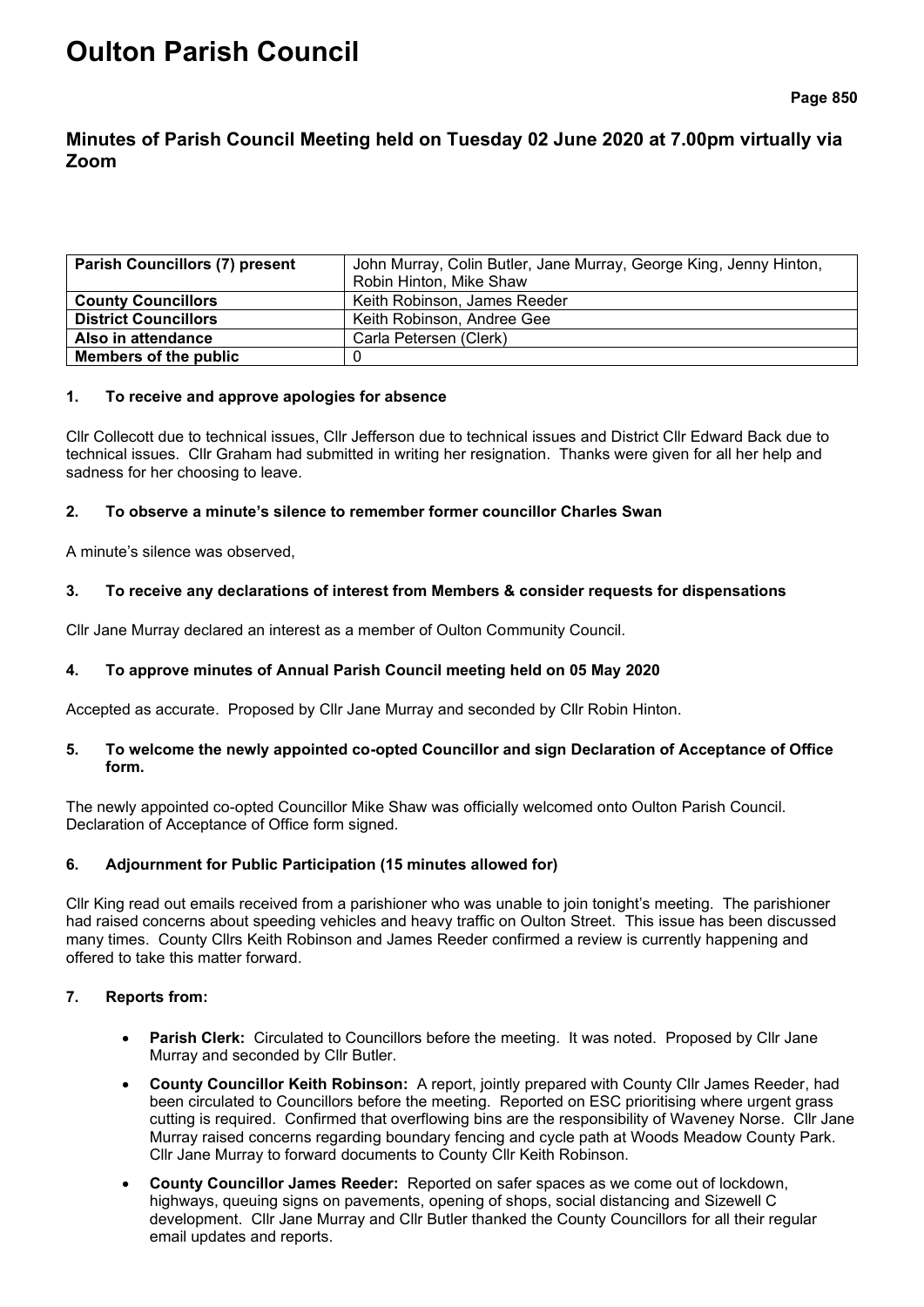# **Oulton Parish Council**

# **Minutes of Parish Council Meeting held on Tuesday 02 June 2020 at 7.00pm virtually via Zoom**

| <b>Parish Councillors (7) present</b> | John Murray, Colin Butler, Jane Murray, George King, Jenny Hinton, |  |
|---------------------------------------|--------------------------------------------------------------------|--|
|                                       | Robin Hinton, Mike Shaw                                            |  |
| <b>County Councillors</b>             | Keith Robinson, James Reeder                                       |  |
| <b>District Councillors</b>           | Keith Robinson, Andree Gee                                         |  |
| Also in attendance                    | Carla Petersen (Clerk)                                             |  |
| Members of the public                 |                                                                    |  |

#### **1. To receive and approve apologies for absence**

Cllr Collecott due to technical issues, Cllr Jefferson due to technical issues and District Cllr Edward Back due to technical issues. Cllr Graham had submitted in writing her resignation. Thanks were given for all her help and sadness for her choosing to leave.

# **2. To observe a minute's silence to remember former councillor Charles Swan**

A minute's silence was observed,

# **3. To receive any declarations of interest from Members & consider requests for dispensations**

Cllr Jane Murray declared an interest as a member of Oulton Community Council.

# **4. To approve minutes of Annual Parish Council meeting held on 05 May 2020**

Accepted as accurate. Proposed by Cllr Jane Murray and seconded by Cllr Robin Hinton.

#### **5. To welcome the newly appointed co-opted Councillor and sign Declaration of Acceptance of Office form.**

The newly appointed co-opted Councillor Mike Shaw was officially welcomed onto Oulton Parish Council. Declaration of Acceptance of Office form signed.

# **6. Adjournment for Public Participation (15 minutes allowed for)**

Cllr King read out emails received from a parishioner who was unable to join tonight's meeting. The parishioner had raised concerns about speeding vehicles and heavy traffic on Oulton Street. This issue has been discussed many times. County Cllrs Keith Robinson and James Reeder confirmed a review is currently happening and offered to take this matter forward.

# **7. Reports from:**

- **Parish Clerk:** Circulated to Councillors before the meeting. It was noted. Proposed by Cllr Jane Murray and seconded by Cllr Butler.
- **County Councillor Keith Robinson:** A report, jointly prepared with County Cllr James Reeder, had been circulated to Councillors before the meeting. Reported on ESC prioritising where urgent grass cutting is required. Confirmed that overflowing bins are the responsibility of Waveney Norse. Cllr Jane Murray raised concerns regarding boundary fencing and cycle path at Woods Meadow County Park. Cllr Jane Murray to forward documents to County Cllr Keith Robinson.
- **County Councillor James Reeder:** Reported on safer spaces as we come out of lockdown, highways, queuing signs on pavements, opening of shops, social distancing and Sizewell C development. Cllr Jane Murray and Cllr Butler thanked the County Councillors for all their regular email updates and reports.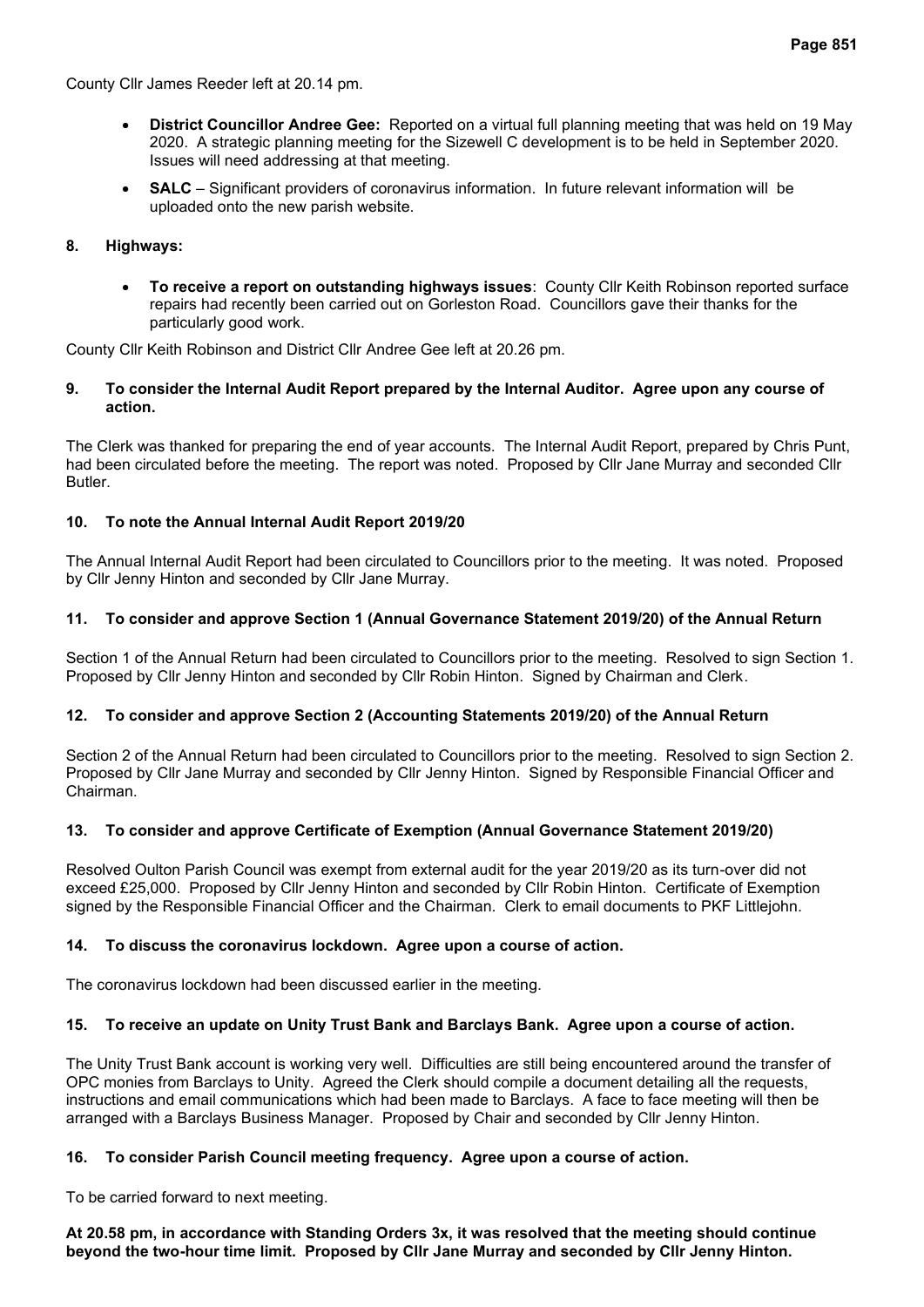- **District Councillor Andree Gee:** Reported on a virtual full planning meeting that was held on 19 May 2020. A strategic planning meeting for the Sizewell C development is to be held in September 2020. Issues will need addressing at that meeting.
- **SALC** Significant providers of coronavirus information. In future relevant information will be uploaded onto the new parish website.

# **8. Highways:**

• **To receive a report on outstanding highways issues**:County Cllr Keith Robinson reported surface repairs had recently been carried out on Gorleston Road. Councillors gave their thanks for the particularly good work.

County Cllr Keith Robinson and District Cllr Andree Gee left at 20.26 pm.

#### **9. To consider the Internal Audit Report prepared by the Internal Auditor. Agree upon any course of action.**

The Clerk was thanked for preparing the end of year accounts. The Internal Audit Report, prepared by Chris Punt, had been circulated before the meeting. The report was noted. Proposed by Cllr Jane Murray and seconded Cllr Butler.

# **10. To note the Annual Internal Audit Report 2019/20**

The Annual Internal Audit Report had been circulated to Councillors prior to the meeting. It was noted. Proposed by Cllr Jenny Hinton and seconded by Cllr Jane Murray.

# **11. To consider and approve Section 1 (Annual Governance Statement 2019/20) of the Annual Return**

Section 1 of the Annual Return had been circulated to Councillors prior to the meeting. Resolved to sign Section 1. Proposed by Cllr Jenny Hinton and seconded by Cllr Robin Hinton. Signed by Chairman and Clerk.

# **12. To consider and approve Section 2 (Accounting Statements 2019/20) of the Annual Return**

Section 2 of the Annual Return had been circulated to Councillors prior to the meeting. Resolved to sign Section 2. Proposed by Cllr Jane Murray and seconded by Cllr Jenny Hinton. Signed by Responsible Financial Officer and Chairman.

# **13. To consider and approve Certificate of Exemption (Annual Governance Statement 2019/20)**

Resolved Oulton Parish Council was exempt from external audit for the year 2019/20 as its turn-over did not exceed £25,000. Proposed by Cllr Jenny Hinton and seconded by Cllr Robin Hinton. Certificate of Exemption signed by the Responsible Financial Officer and the Chairman. Clerk to email documents to PKF Littlejohn.

# **14. To discuss the coronavirus lockdown. Agree upon a course of action.**

The coronavirus lockdown had been discussed earlier in the meeting.

# **15. To receive an update on Unity Trust Bank and Barclays Bank. Agree upon a course of action.**

The Unity Trust Bank account is working very well. Difficulties are still being encountered around the transfer of OPC monies from Barclays to Unity. Agreed the Clerk should compile a document detailing all the requests, instructions and email communications which had been made to Barclays. A face to face meeting will then be arranged with a Barclays Business Manager. Proposed by Chair and seconded by Cllr Jenny Hinton.

# **16. To consider Parish Council meeting frequency. Agree upon a course of action.**

To be carried forward to next meeting.

**At 20.58 pm, in accordance with Standing Orders 3x, it was resolved that the meeting should continue beyond the two-hour time limit. Proposed by Cllr Jane Murray and seconded by Cllr Jenny Hinton.**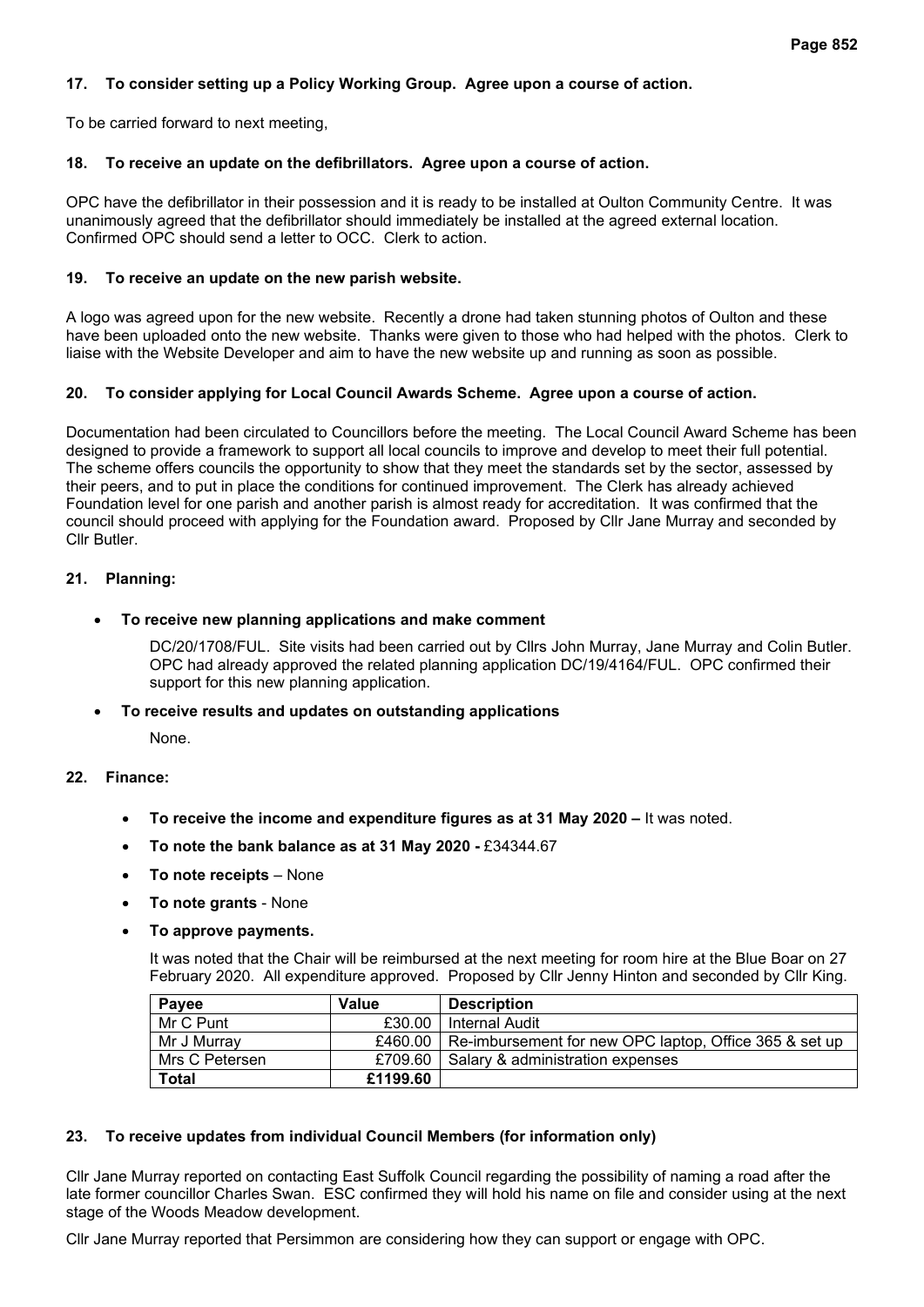# **17. To consider setting up a Policy Working Group. Agree upon a course of action.**

To be carried forward to next meeting,

#### **18. To receive an update on the defibrillators. Agree upon a course of action.**

OPC have the defibrillator in their possession and it is ready to be installed at Oulton Community Centre. It was unanimously agreed that the defibrillator should immediately be installed at the agreed external location. Confirmed OPC should send a letter to OCC. Clerk to action.

#### **19. To receive an update on the new parish website.**

A logo was agreed upon for the new website. Recently a drone had taken stunning photos of Oulton and these have been uploaded onto the new website. Thanks were given to those who had helped with the photos. Clerk to liaise with the Website Developer and aim to have the new website up and running as soon as possible.

#### **20. To consider applying for Local Council Awards Scheme. Agree upon a course of action.**

Documentation had been circulated to Councillors before the meeting. The Local Council Award Scheme has been designed to provide a framework to support all local councils to improve and develop to meet their full potential. The scheme offers councils the opportunity to show that they meet the standards set by the sector, assessed by their peers, and to put in place the conditions for continued improvement. The Clerk has already achieved Foundation level for one parish and another parish is almost ready for accreditation. It was confirmed that the council should proceed with applying for the Foundation award. Proposed by Cllr Jane Murray and seconded by Cllr Butler.

#### **21. Planning:**

#### • **To receive new planning applications and make comment**

DC/20/1708/FUL. Site visits had been carried out by Cllrs John Murray, Jane Murray and Colin Butler. OPC had already approved the related planning application DC/19/4164/FUL. OPC confirmed their support for this new planning application.

#### • **To receive results and updates on outstanding applications**

None.

#### **22. Finance:**

- **To receive the income and expenditure figures as at 31 May 2020 –** It was noted.
- **To note the bank balance as at 31 May 2020 -** £34344.67
- **To note receipts** None
- **To note grants** None
- **To approve payments.**

It was noted that the Chair will be reimbursed at the next meeting for room hire at the Blue Boar on 27 February 2020. All expenditure approved. Proposed by Cllr Jenny Hinton and seconded by Cllr King.

| Payee          | Value    | <b>Description</b>                                               |
|----------------|----------|------------------------------------------------------------------|
| Mr C Punt      | £30.00   | Internal Audit                                                   |
| Mr J Murray    |          | £460.00   Re-imbursement for new OPC laptop, Office 365 & set up |
| Mrs C Petersen | £709.60  | l Salary & administration expenses                               |
| <b>Total</b>   | £1199.60 |                                                                  |

#### **23. To receive updates from individual Council Members (for information only)**

Cllr Jane Murray reported on contacting East Suffolk Council regarding the possibility of naming a road after the late former councillor Charles Swan. ESC confirmed they will hold his name on file and consider using at the next stage of the Woods Meadow development.

Cllr Jane Murray reported that Persimmon are considering how they can support or engage with OPC.